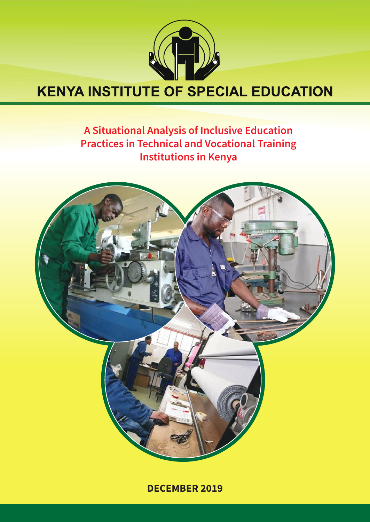

# **KENYA INSTITUTE OF SPECIAL EDUCATION**

# A Situational Analysis of Inclusive Education **Practices in Technical and Vocational Training Institutions in Kenya**



**DECEMBER 2019**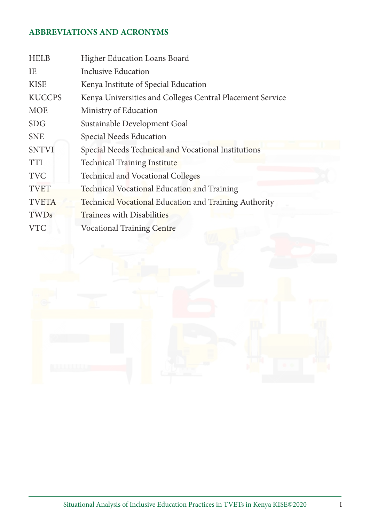# **ABBREVIATIONS AND ACRONYMS**

| <b>HELB</b>   | <b>Higher Education Loans Board</b>                       |  |  |  |
|---------------|-----------------------------------------------------------|--|--|--|
| IE            | Inclusive Education                                       |  |  |  |
| <b>KISE</b>   | Kenya Institute of Special Education                      |  |  |  |
| <b>KUCCPS</b> | Kenya Universities and Colleges Central Placement Service |  |  |  |
| <b>MOE</b>    | Ministry of Education                                     |  |  |  |
| <b>SDG</b>    | Sustainable Development Goal                              |  |  |  |
| <b>SNE</b>    | Special Needs Education                                   |  |  |  |
| <b>SNTVI</b>  | Special Needs Technical and Vocational Institutions       |  |  |  |
| <b>TTI</b>    | <b>Technical Training Institute</b>                       |  |  |  |
| <b>TVC</b>    | <b>Technical and Vocational Colleges</b>                  |  |  |  |
| <b>TVET</b>   | <b>Technical Vocational Education and Training</b>        |  |  |  |
| <b>TVETA</b>  | Technical Vocational Education and Training Authority     |  |  |  |
| TWDs          | Trainees with Disabilities                                |  |  |  |
| <b>VTC</b>    | <b>Vocational Training Centre</b>                         |  |  |  |

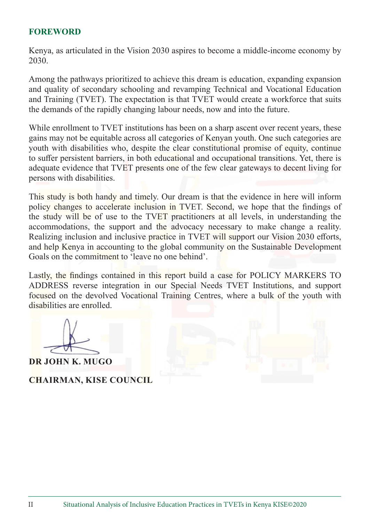#### **FOREWORD**

Kenya, as articulated in the Vision 2030 aspires to become a middle-income economy by 2030.

Among the pathways prioritized to achieve this dream is education, expanding expansion and quality of secondary schooling and revamping Technical and Vocational Education and Training (TVET). The expectation is that TVET would create a workforce that suits the demands of the rapidly changing labour needs, now and into the future.

While enrollment to TVET institutions has been on a sharp ascent over recent years, these gains may not be equitable across all categories of Kenyan youth. One such categories are youth with disabilities who, despite the clear constitutional promise of equity, continue to suffer persistent barriers, in both educational and occupational transitions. Yet, there is adequate evidence that TVET presents one of the few clear gateways to decent living for persons with disabilities.

This study is both handy and timely. Our dream is that the evidence in here will inform policy changes to accelerate inclusion in TVET. Second, we hope that the findings of the study will be of use to the TVET practitioners at all levels, in understanding the accommodations, the support and the advocacy necessary to make change a reality. Realizing inclusion and inclusive practice in TVET will support our Vision 2030 efforts, and help Kenya in accounting to the global community on the Sustainable Development Goals on the commitment to 'leave no one behind'.

Lastly, the findings contained in this report build a case for POLICY MARKERS TO ADDRESS reverse integration in our Special Needs TVET Institutions, and support focused on the devolved Vocational Training Centres, where a bulk of the youth with disabilities are enrolled.

**DR JOHN K. MUGO**

**CHAIRMAN, KISE COUNCIL**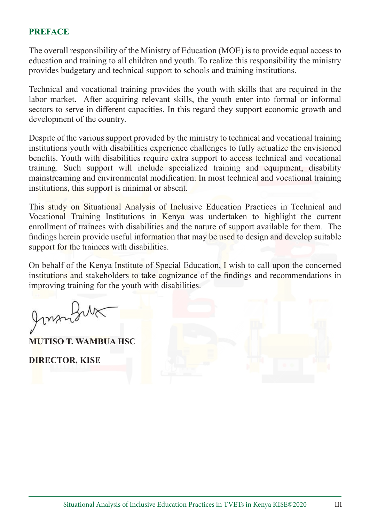#### **PREFACE**

The overall responsibility of the Ministry of Education (MOE) is to provide equal access to education and training to all children and youth. To realize this responsibility the ministry provides budgetary and technical support to schools and training institutions.

Technical and vocational training provides the youth with skills that are required in the labor market. After acquiring relevant skills, the youth enter into formal or informal sectors to serve in different capacities. In this regard they support economic growth and development of the country.

Despite of the various support provided by the ministry to technical and vocational training institutions youth with disabilities experience challenges to fully actualize the envisioned benefits. Youth with disabilities require extra support to access technical and vocational training. Such support will include specialized training and equipment, disability mainstreaming and environmental modification. In most technical and vocational training institutions, this support is minimal or absent.

This study on Situational Analysis of Inclusive Education Practices in Technical and Vocational Training Institutions in Kenya was undertaken to highlight the current enrollment of trainees with disabilities and the nature of support available for them. The findings herein provide useful information that may be used to design and develop suitable support for the trainees with disabilities.

On behalf of the Kenya Institute of Special Education, I wish to call upon the concerned institutions and stakeholders to take cognizance of the findings and recommendations in improving training for the youth with disabilities.

Jonnals

**MUTISO T. WAMBUA HSC**

**DIRECTOR, KISE**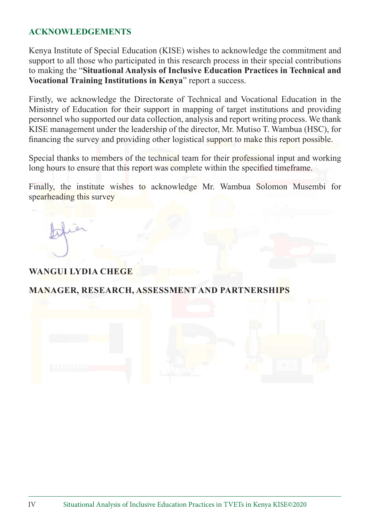#### **ACKNOWLEDGEMENTS**

Kenya Institute of Special Education (KISE) wishes to acknowledge the commitment and support to all those who participated in this research process in their special contributions to making the "**Situational Analysis of Inclusive Education Practices in Technical and Vocational Training Institutions in Kenya**" report a success.

Firstly, we acknowledge the Directorate of Technical and Vocational Education in the Ministry of Education for their support in mapping of target institutions and providing personnel who supported our data collection, analysis and report writing process. We thank KISE management under the leadership of the director, Mr. Mutiso T. Wambua (HSC), for financing the survey and providing other logistical support to make this report possible.

Special thanks to members of the technical team for their professional input and working long hours to ensure that this report was complete within the specified timeframe.

Finally, the institute wishes to acknowledge Mr. Wambua Solomon Musembi for spearheading this survey

#### **WANGUI LYDIA CHEGE**

#### **MANAGER, RESEARCH, ASSESSMENT AND PARTNERSHIPS**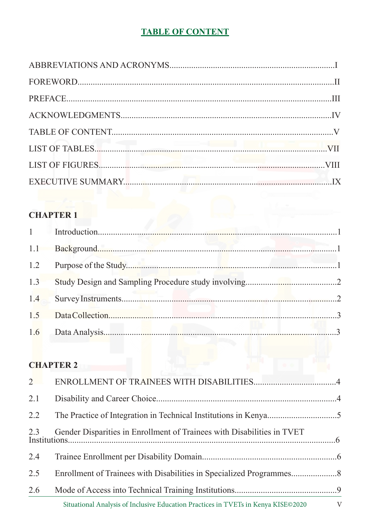# **TABLE OF CONTENT**

# **CHAPTER 1**

# **CHAPTER 2**

|     | Situational Analysis of Inclusive Education Practices in TVETs in Kenya KISE©2020 V |  |
|-----|-------------------------------------------------------------------------------------|--|
| 2.6 |                                                                                     |  |
| 2.5 |                                                                                     |  |
| 2.4 |                                                                                     |  |
| 2.3 | Gender Disparities in Enrollment of Trainees with Disabilities in TVET              |  |
| 2.2 |                                                                                     |  |
| 2.1 |                                                                                     |  |
|     |                                                                                     |  |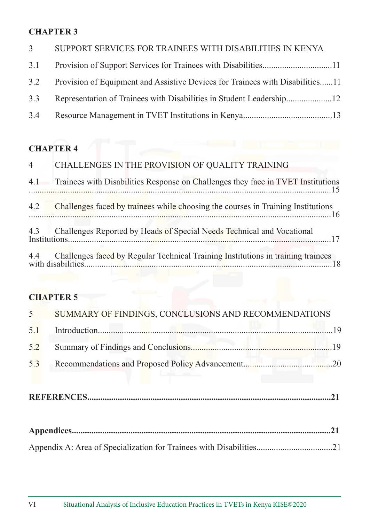# **CHAPTER 3**

| 3 <sup>1</sup> | SUPPORT SERVICES FOR TRAINEES WITH DISABILITIES IN KENYA                          |
|----------------|-----------------------------------------------------------------------------------|
|                |                                                                                   |
|                | 3.2 Provision of Equipment and Assistive Devices for Trainees with Disabilities11 |
| 3.3            |                                                                                   |
|                |                                                                                   |

# **CHAPTER 4**

| $\overline{4}$ | CHALLENGES IN THE PROVISION OF QUALITY TRAINING                                        |
|----------------|----------------------------------------------------------------------------------------|
|                | 4.1 Trainees with Disabilities Response on Challenges they face in TVET Institutions   |
| 4.2            | Challenges faced by trainees while choosing the courses in Training Institutions<br>16 |
|                | 4.3 Challenges Reported by Heads of Special Needs Technical and Vocational             |
|                |                                                                                        |

# **CHAPTER 5**

| 5 <sup>5</sup> | SUMMARY OF FINDINGS, CONCLUSIONS AND RECOMMENDATIONS |     |
|----------------|------------------------------------------------------|-----|
| 5.1            |                                                      |     |
| 5.2            |                                                      |     |
| 5.3            |                                                      |     |
|                |                                                      |     |
|                |                                                      | .21 |
|                |                                                      |     |
|                |                                                      | .21 |
|                |                                                      |     |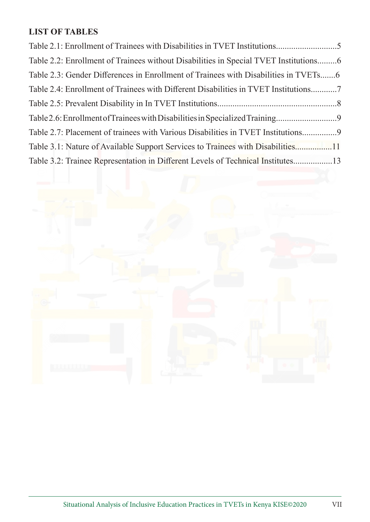# **LIST OF TABLES**

| Table 2.1: Enrollment of Trainees with Disabilities in TVET Institutions5            |
|--------------------------------------------------------------------------------------|
| Table 2.2: Enrollment of Trainees without Disabilities in Special TVET Institutions6 |
| Table 2.3: Gender Differences in Enrollment of Trainees with Disabilities in TVETs6  |
| Table 2.4: Enrollment of Trainees with Different Disabilities in TVET Institutions   |
|                                                                                      |
|                                                                                      |
| Table 2.7: Placement of trainees with Various Disabilities in TVET Institutions9     |
| Table 3.1: Nature of Available Support Services to Trainees with Disabilities11      |
| Table 3.2: Trainee Representation in Different Levels of Technical Institutes13      |

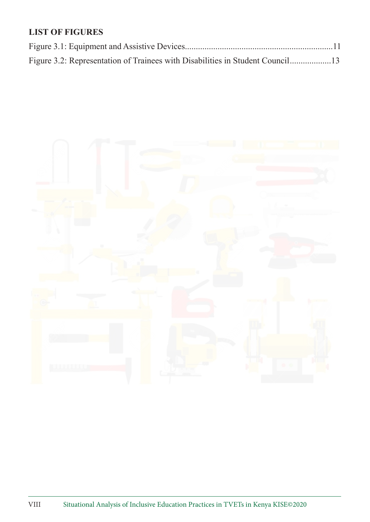# **LIST OF FIGURES**

| Figure 3.2: Representation of Trainees with Disabilities in Student Council13 |  |
|-------------------------------------------------------------------------------|--|

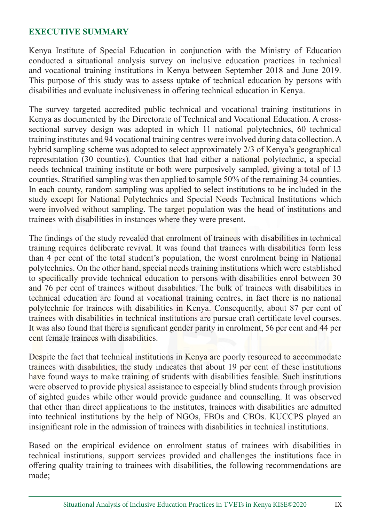#### **EXECUTIVE SUMMARY**

Kenya Institute of Special Education in conjunction with the Ministry of Education conducted a situational analysis survey on inclusive education practices in technical and vocational training institutions in Kenya between September 2018 and June 2019. This purpose of this study was to assess uptake of technical education by persons with disabilities and evaluate inclusiveness in offering technical education in Kenya.

The survey targeted accredited public technical and vocational training institutions in Kenya as documented by the Directorate of Technical and Vocational Education. A crosssectional survey design was adopted in which 11 national polytechnics, 60 technical training institutes and 94 vocational training centres were involved during data collection. A hybrid sampling scheme was adopted to select approximately 2/3 of Kenya's geographical representation (30 counties). Counties that had either a national polytechnic, a special needs technical training institute or both were purposively sampled, giving a total of 13 counties. Stratified sampling was then applied to sample 50% of the remaining 34 counties. In each county, random sampling was applied to select institutions to be included in the study except for National Polytechnics and Special Needs Technical Institutions which were involved without sampling. The target population was the head of institutions and trainees with disabilities in instances where they were present.

The findings of the study revealed that enrolment of trainees with disabilities in technical training requires deliberate revival. It was found that trainees with disabilities form less than 4 per cent of the total student's population, the worst enrolment being in National polytechnics. On the other hand, special needs training institutions which were established to specifically provide technical education to persons with disabilities enrol between 30 and 76 per cent of trainees without disabilities. The bulk of trainees with disabilities in technical education are found at vocational training centres, in fact there is no national polytechnic for trainees with disabilities in Kenya. Consequently, about 87 per cent of trainees with disabilities in technical institutions are pursue craft certificate level courses. It was also found that there is significant gender parity in enrolment, 56 per cent and 44 per cent female trainees with disabilities.

Despite the fact that technical institutions in Kenya are poorly resourced to accommodate trainees with disabilities, the study indicates that about 19 per cent of these institutions have found ways to make training of students with disabilities feasible. Such institutions were observed to provide physical assistance to especially blind students through provision of sighted guides while other would provide guidance and counselling. It was observed that other than direct applications to the institutes, trainees with disabilities are admitted into technical institutions by the help of NGOs, FBOs and CBOs. KUCCPS played an insignificant role in the admission of trainees with disabilities in technical institutions.

Based on the empirical evidence on enrolment status of trainees with disabilities in technical institutions, support services provided and challenges the institutions face in offering quality training to trainees with disabilities, the following recommendations are made;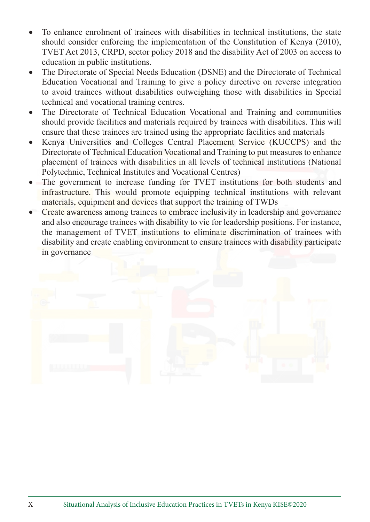- To enhance enrolment of trainees with disabilities in technical institutions, the state should consider enforcing the implementation of the Constitution of Kenya (2010), TVET Act 2013, CRPD, sector policy 2018 and the disability Act of 2003 on access to education in public institutions.
- The Directorate of Special Needs Education (DSNE) and the Directorate of Technical Education Vocational and Training to give a policy directive on reverse integration to avoid trainees without disabilities outweighing those with disabilities in Special technical and vocational training centres.
- The Directorate of Technical Education Vocational and Training and communities should provide facilities and materials required by trainees with disabilities. This will ensure that these trainees are trained using the appropriate facilities and materials
- Kenya Universities and Colleges Central Placement Service (KUCCPS) and the Directorate of Technical Education Vocational and Training to put measures to enhance placement of trainees with disabilities in all levels of technical institutions (National Polytechnic, Technical Institutes and Vocational Centres)
- The government to increase funding for TVET institutions for both students and infrastructure. This would promote equipping technical institutions with relevant materials, equipment and devices that support the training of TWDs
- Create awareness among trainees to embrace inclusivity in leadership and governance and also encourage trainees with disability to vie for leadership positions. For instance, the management of TVET institutions to eliminate discrimination of trainees with disability and create enabling environment to ensure trainees with disability participate in governance

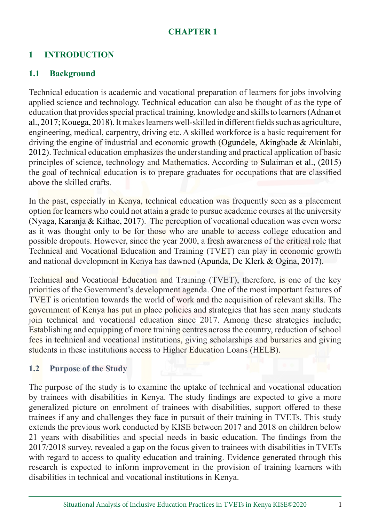#### **CHAPTER 1**

# **1 INTRODUCTION**

# **1.1 Background**

Technical education is academic and vocational preparation of learners for jobs involving applied science and technology. Technical education can also be thought of as the type of education that provides special practical training, knowledge and skills to learners (Adnan et al., 2017; Kouega, 2018). It makes learners well-skilled in different fields such as agriculture, engineering, medical, carpentry, driving etc. A skilled workforce is a basic requirement for driving the engine of industrial and economic growth (Ogundele, Akingbade & Akinlabi, 2012). Technical education emphasizes the understanding and practical application of basic principles of science, technology and Mathematics. According to Sulaiman et al., (2015) the goal of technical education is to prepare graduates for occupations that are classified above the skilled crafts.

In the past, especially in Kenya, technical education was frequently seen as a placement option for learners who could not attain a grade to pursue academic courses at the university (Nyaga, Karanja & Kithae, 2017). The perception of vocational education was even worse as it was thought only to be for those who are unable to access college education and possible dropouts. However, since the year 2000, a fresh awareness of the critical role that Technical and Vocational Education and Training (TVET) can play in economic growth and national development in Kenya has dawned (Apunda, De Klerk & Ogina, 2017).

Technical and Vocational Education and Training (TVET), therefore, is one of the key priorities of the Government's development agenda. One of the most important features of TVET is orientation towards the world of work and the acquisition of relevant skills. The government of Kenya has put in place policies and strategies that has seen many students join technical and vocational education since 2017. Among these strategies include; Establishing and equipping of more training centres across the country, reduction of school fees in technical and vocational institutions, giving scholarships and bursaries and giving students in these institutions access to Higher Education Loans (HELB).

#### **1.2 Purpose of the Study**

The purpose of the study is to examine the uptake of technical and vocational education by trainees with disabilities in Kenya. The study findings are expected to give a more generalized picture on enrolment of trainees with disabilities, support offered to these trainees if any and challenges they face in pursuit of their training in TVETs. This study extends the previous work conducted by KISE between 2017 and 2018 on children below 21 years with disabilities and special needs in basic education. The findings from the 2017/2018 survey, revealed a gap on the focus given to trainees with disabilities in TVETs with regard to access to quality education and training. Evidence generated through this research is expected to inform improvement in the provision of training learners with disabilities in technical and vocational institutions in Kenya.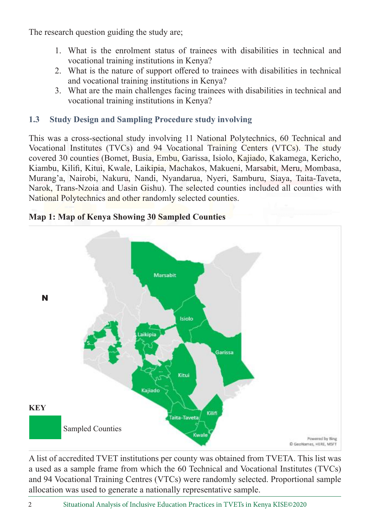The research question guiding the study are;

- 1. What is the enrolment status of trainees with disabilities in technical and vocational training institutions in Kenya?
- 2. What is the nature of support offered to trainees with disabilities in technical and vocational training institutions in Kenya?
- 3. What are the main challenges facing trainees with disabilities in technical and vocational training institutions in Kenya?

# **1.3 Study Design and Sampling Procedure study involving**

This was a cross-sectional study involving 11 National Polytechnics, 60 Technical and Vocational Institutes (TVCs) and 94 Vocational Training Centers (VTCs). The study covered 30 counties (Bomet, Busia, Embu, Garissa, Isiolo, Kajiado, Kakamega, Kericho, Kiambu, Kilifi, Kitui, Kwale, Laikipia, Machakos, Makueni, Marsabit, Meru, Mombasa, Murang'a, Nairobi, Nakuru, Nandi, Nyandarua, Nyeri, Samburu, Siaya, Taita-Taveta, Narok, Trans-Nzoia and Uasin Gishu). The selected counties included all counties with National Polytechnics and other randomly selected counties.



**Map 1: Map of Kenya Showing 30 Sampled Counties**

A list of accredited TVET institutions per county was obtained from TVETA. This list was a used as a sample frame from which the 60 Technical and Vocational Institutes (TVCs) and 94 Vocational Training Centres (VTCs) were randomly selected. Proportional sample allocation was used to generate a nationally representative sample.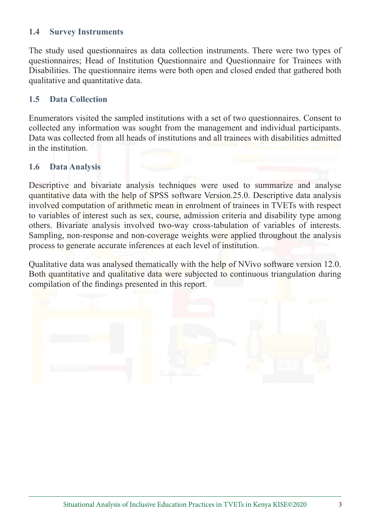#### **1.4 Survey Instruments**

The study used questionnaires as data collection instruments. There were two types of questionnaires; Head of Institution Questionnaire and Questionnaire for Trainees with Disabilities. The questionnaire items were both open and closed ended that gathered both qualitative and quantitative data.

#### **1.5 Data Collection**

Enumerators visited the sampled institutions with a set of two questionnaires. Consent to collected any information was sought from the management and individual participants. Data was collected from all heads of institutions and all trainees with disabilities admitted in the institution.

#### **1.6 Data Analysis**

Descriptive and bivariate analysis techniques were used to summarize and analyse quantitative data with the help of SPSS software Version.25.0. Descriptive data analysis involved computation of arithmetic mean in enrolment of trainees in TVETs with respect to variables of interest such as sex, course, admission criteria and disability type among others. Bivariate analysis involved two-way cross-tabulation of variables of interests. Sampling, non-response and non-coverage weights were applied throughout the analysis process to generate accurate inferences at each level of institution.

Qualitative data was analysed thematically with the help of NVivo software version 12.0. Both quantitative and qualitative data were subjected to continuous triangulation during compilation of the findings presented in this report.

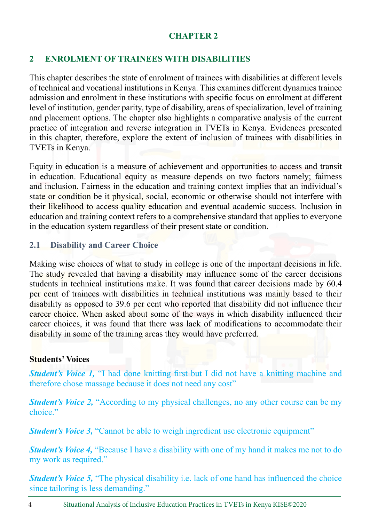#### **CHAPTER 2**

# **2 ENROLMENT OF TRAINEES WITH DISABILITIES**

This chapter describes the state of enrolment of trainees with disabilities at different levels of technical and vocational institutions in Kenya. This examines different dynamics trainee admission and enrolment in these institutions with specific focus on enrolment at different level of institution, gender parity, type of disability, areas of specialization, level of training and placement options. The chapter also highlights a comparative analysis of the current practice of integration and reverse integration in TVETs in Kenya. Evidences presented in this chapter, therefore, explore the extent of inclusion of trainees with disabilities in TVETs in Kenya.

Equity in education is a measure of achievement and opportunities to access and transit in education. Educational equity as measure depends on two factors namely; fairness and inclusion. Fairness in the education and training context implies that an individual's state or condition be it physical, social, economic or otherwise should not interfere with their likelihood to access quality education and eventual academic success. Inclusion in education and training context refers to a comprehensive standard that applies to everyone in the education system regardless of their present state or condition.

# **2.1 Disability and Career Choice**

Making wise choices of what to study in college is one of the important decisions in life. The study revealed that having a disability may influence some of the career decisions students in technical institutions make. It was found that career decisions made by 60.4 per cent of trainees with disabilities in technical institutions was mainly based to their disability as opposed to 39.6 per cent who reported that disability did not influence their career choice. When asked about some of the ways in which disability influenced their career choices, it was found that there was lack of modifications to accommodate their disability in some of the training areas they would have preferred.

#### **Students' Voices**

*Student's Voice 1,* "I had done knitting first but I did not have a knitting machine and therefore chose massage because it does not need any cost"

*Student's Voice 2***, "According to my physical challenges, no any other course can be my** choice."

*Student's Voice 3,* "Cannot be able to weigh ingredient use electronic equipment"

*Student's Voice 4,* "Because I have a disability with one of my hand it makes me not to do my work as required."

*Student's Voice 5,* "The physical disability i.e. lack of one hand has influenced the choice since tailoring is less demanding."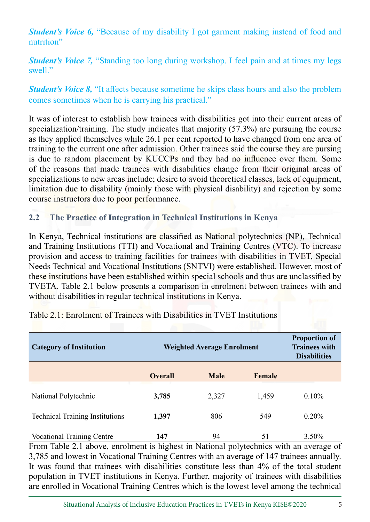*Student's Voice 6,* "Because of my disability I got garment making instead of food and nutrition"

*Student's Voice 7,* "Standing too long during workshop. I feel pain and at times my legs swell."

*Student's Voice 8,* "It affects because sometime he skips class hours and also the problem comes sometimes when he is carrying his practical."

It was of interest to establish how trainees with disabilities got into their current areas of specialization/training. The study indicates that majority (57.3%) are pursuing the course as they applied themselves while 26.1 per cent reported to have changed from one area of training to the current one after admission. Other trainees said the course they are pursing is due to random placement by KUCCPs and they had no influence over them. Some of the reasons that made trainees with disabilities change from their original areas of specializations to new areas include; desire to avoid theoretical classes, lack of equipment, limitation due to disability (mainly those with physical disability) and rejection by some course instructors due to poor performance.

#### **2.2 The Practice of Integration in Technical Institutions in Kenya**

In Kenya, Technical institutions are classified as National polytechnics (NP), Technical and Training Institutions (TTI) and Vocational and Training Centres (VTC). To increase provision and access to training facilities for trainees with disabilities in TVET, Special Needs Technical and Vocational Institutions (SNTVI) were established. However, most of these institutions have been established within special schools and thus are unclassified by TVETA. Table 2.1 below presents a comparison in enrolment between trainees with and without disabilities in regular technical institutions in Kenya.

| <b>Category of Institution</b>         | Weighted Average Enrolment |             |        | <b>Proportion of</b><br><b>Trainees with</b><br><b>Disabilities</b> |
|----------------------------------------|----------------------------|-------------|--------|---------------------------------------------------------------------|
|                                        | <b>Overall</b>             | <b>Male</b> | Female |                                                                     |
| National Polytechnic                   | 3,785                      | 2,327       | 1,459  | $0.10\%$                                                            |
| <b>Technical Training Institutions</b> | 1,397                      | 806         | 549    | $0.20\%$                                                            |
| <b>Vocational Training Centre</b>      | 147                        | 94          | 51     | $3.50\%$                                                            |

Table 2.1: Enrolment of Trainees with Disabilities in TVET Institutions

From Table 2.1 above, enrolment is highest in National polytechnics with an average of 3,785 and lowest in Vocational Training Centres with an average of 147 trainees annually. It was found that trainees with disabilities constitute less than 4% of the total student population in TVET institutions in Kenya. Further, majority of trainees with disabilities are enrolled in Vocational Training Centres which is the lowest level among the technical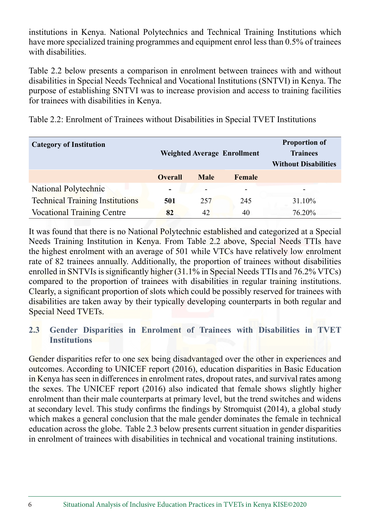institutions in Kenya. National Polytechnics and Technical Training Institutions which have more specialized training programmes and equipment enrol less than 0.5% of trainees with disabilities.

Table 2.2 below presents a comparison in enrolment between trainees with and without disabilities in Special Needs Technical and Vocational Institutions (SNTVI) in Kenya. The purpose of establishing SNTVI was to increase provision and access to training facilities for trainees with disabilities in Kenya.

| <b>Category of Institution</b>         | <b>Weighted Average Enrollment</b> |             |        | <b>Proportion of</b><br><b>Trainees</b><br><b>Without Disabilities</b> |
|----------------------------------------|------------------------------------|-------------|--------|------------------------------------------------------------------------|
|                                        | <b>Overall</b>                     | <b>Male</b> | Female |                                                                        |
| National Polytechnic                   |                                    | ۰           |        |                                                                        |
| <b>Technical Training Institutions</b> | 501                                | 257         | 245    | 31.10%                                                                 |
| <b>Vocational Training Centre</b>      | 82                                 | 42          | 40     | 76.20%                                                                 |

It was found that there is no National Polytechnic established and categorized at a Special Needs Training Institution in Kenya. From Table 2.2 above, Special Needs TTIs have the highest enrolment with an average of 501 while VTCs have relatively low enrolment rate of 82 trainees annually. Additionally, the proportion of trainees without disabilities enrolled in SNTVIs is significantly higher (31.1% in Special Needs TTIs and 76.2% VTCs) compared to the proportion of trainees with disabilities in regular training institutions. Clearly, a significant proportion of slots which could be possibly reserved for trainees with disabilities are taken away by their typically developing counterparts in both regular and Special Need TVETs.

# **2.3 Gender Disparities in Enrolment of Trainees with Disabilities in TVET Institutions**

Gender disparities refer to one sex being disadvantaged over the other in experiences and outcomes. According to UNICEF report (2016), education disparities in Basic Education in Kenya has seen in differences in enrolment rates, dropout rates, and survival rates among the sexes. The UNICEF report (2016) also indicated that female shows slightly higher enrolment than their male counterparts at primary level, but the trend switches and widens at secondary level. This study confirms the findings by Stromquist (2014), a global study which makes a general conclusion that the male gender dominates the female in technical education across the globe. Table 2.3 below presents current situation in gender disparities in enrolment of trainees with disabilities in technical and vocational training institutions.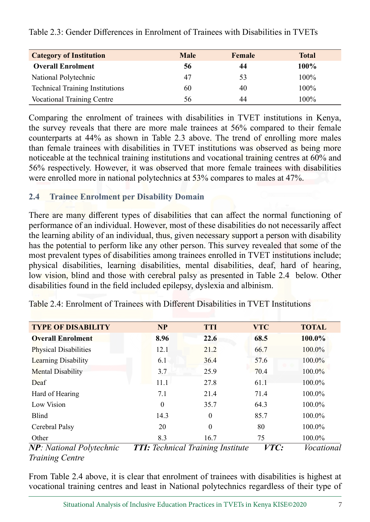| <b>Category of Institution</b>         | <b>Male</b> | Female | <b>Total</b> |
|----------------------------------------|-------------|--------|--------------|
| <b>Overall Enrolment</b>               | 56          | 44     | 100%         |
| National Polytechnic                   | 47          | 53     | 100%         |
| <b>Technical Training Institutions</b> | 60          | 40     | 100%         |
| <b>Vocational Training Centre</b>      | 56          | 44     | $100\%$      |

Table 2.3: Gender Differences in Enrolment of Trainees with Disabilities in TVETs

Comparing the enrolment of trainees with disabilities in TVET institutions in Kenya, the survey reveals that there are more male trainees at 56% compared to their female counterparts at 44% as shown in Table 2.3 above. The trend of enrolling more males than female trainees with disabilities in TVET institutions was observed as being more noticeable at the technical training institutions and vocational training centres at 60% and 56% respectively. However, it was observed that more female trainees with disabilities were enrolled more in national polytechnics at 53% compares to males at 47%.

#### **2.4 Trainee Enrolment per Disability Domain**

There are many different types of disabilities that can affect the normal functioning of performance of an individual. However, most of these disabilities do not necessarily affect the learning ability of an individual, thus, given necessary support a person with disability has the potential to perform like any other person. This survey revealed that some of the most prevalent types of disabilities among trainees enrolled in TVET institutions include; physical disabilities, learning disabilities, mental disabilities, deaf, hard of hearing, low vision, blind and those with cerebral palsy as presented in Table 2.4 below. Other disabilities found in the field included epilepsy, dyslexia and albinism.

| <b>TYPE OF DISABILITY</b>       | <b>NP</b>                          | <b>TTI</b> | <b>VTC</b> | <b>TOTAL</b> |
|---------------------------------|------------------------------------|------------|------------|--------------|
| <b>Overall Enrolment</b>        | 8.96                               | 22.6       | 68.5       | 100.0%       |
| <b>Physical Disabilities</b>    | 12.1                               | 21.2       | 66.7       | 100.0%       |
| <b>Learning Disability</b>      | 6.1                                | 36.4       | 57.6       | 100.0%       |
| <b>Mental Disability</b>        | 3.7                                | 25.9       | 70.4       | $100.0\%$    |
| Deaf                            | 11.1                               | 27.8       | 61.1       | 100.0%       |
| Hard of Hearing                 | 7.1                                | 21.4       | 71.4       | 100.0%       |
| Low Vision                      | $\theta$                           | 35.7       | 64.3       | 100.0%       |
| <b>Blind</b>                    | 14.3                               | $\theta$   | 85.7       | 100.0%       |
| Cerebral Palsy                  | 20                                 | $\Omega$   | 80         | 100.0%       |
| Other                           | 8.3                                | 16.7       | 75         | 100.0%       |
| $NP \cdot National\,Pohtochnic$ | $TTI$ Tochnical Training Institute |            | VTC        | Vocational   |

Table 2.4: Enrolment of Trainees with Different Disabilities in TVET Institutions

*NP: National Polytechnic TTI: Technical Training Institute VTC: Vocational Training Centre*

From Table 2.4 above, it is clear that enrolment of trainees with disabilities is highest at vocational training centres and least in National polytechnics regardless of their type of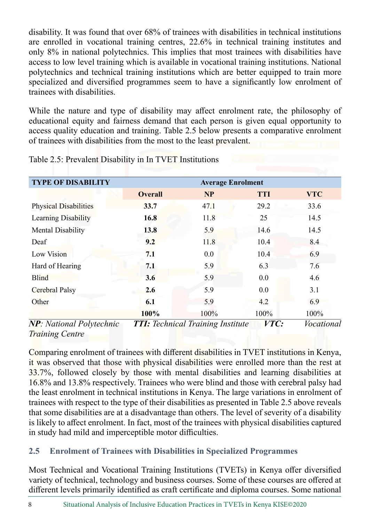disability. It was found that over 68% of trainees with disabilities in technical institutions are enrolled in vocational training centres, 22.6% in technical training institutes and only 8% in national polytechnics. This implies that most trainees with disabilities have access to low level training which is available in vocational training institutions. National polytechnics and technical training institutions which are better equipped to train more specialized and diversified programmes seem to have a significantly low enrolment of trainees with disabilities.

While the nature and type of disability may affect enrolment rate, the philosophy of educational equity and fairness demand that each person is given equal opportunity to access quality education and training. Table 2.5 below presents a comparative enrolment of trainees with disabilities from the most to the least prevalent.

| <b>Average Enrolment</b> |           |            |            |  |  |
|--------------------------|-----------|------------|------------|--|--|
| <b>Overall</b>           | <b>NP</b> | <b>TTI</b> | <b>VTC</b> |  |  |
| 33.7                     | 47.1      | 29.2       | 33.6       |  |  |
| 16.8                     | 11.8      | 25         | 14.5       |  |  |
| 13.8                     | 5.9       | 14.6       | 14.5       |  |  |
| 9.2                      | 11.8      | 10.4       | 8.4        |  |  |
| 7.1                      | 0.0       | 10.4       | 6.9        |  |  |
| 7.1                      | 5.9       | 6.3        | 7.6        |  |  |
| 3.6                      | 5.9       | 0.0        | 4.6        |  |  |
| 2.6                      | 5.9       | 0.0        | 3.1        |  |  |
| 6.1                      | 5.9       | 4.2        | 6.9        |  |  |
| 100%                     | 100%      | 100%       | 100%       |  |  |
|                          |           |            |            |  |  |

Table 2.5: Prevalent Disability in In TVET Institutions

*NP: National Polytechnic TTI: Technical Training Institute VTC: Vocational Training Centre*

Comparing enrolment of trainees with different disabilities in TVET institutions in Kenya, it was observed that those with physical disabilities were enrolled more than the rest at 33.7%, followed closely by those with mental disabilities and learning disabilities at 16.8% and 13.8% respectively. Trainees who were blind and those with cerebral palsy had the least enrolment in technical institutions in Kenya. The large variations in enrolment of trainees with respect to the type of their disabilities as presented in Table 2.5 above reveals that some disabilities are at a disadvantage than others. The level of severity of a disability is likely to affect enrolment. In fact, most of the trainees with physical disabilities captured in study had mild and imperceptible motor difficulties.

# **2.5 Enrolment of Trainees with Disabilities in Specialized Programmes**

Most Technical and Vocational Training Institutions (TVETs) in Kenya offer diversified variety of technical, technology and business courses. Some of these courses are offered at different levels primarily identified as craft certificate and diploma courses. Some national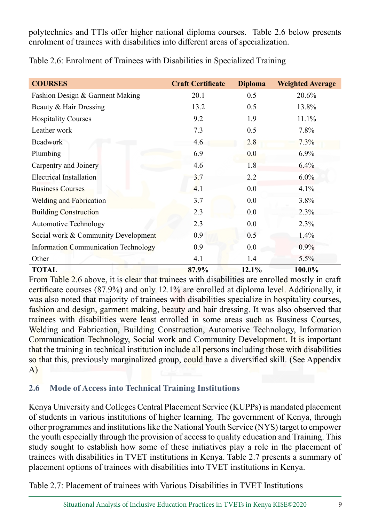polytechnics and TTIs offer higher national diploma courses. Table 2.6 below presents enrolment of trainees with disabilities into different areas of specialization.

|  |  |  | Table 2.6: Enrolment of Trainees with Disabilities in Specialized Training |  |
|--|--|--|----------------------------------------------------------------------------|--|
|  |  |  |                                                                            |  |

| <b>COURSES</b>                              | <b>Craft Certificate</b> | <b>Diploma</b> | <b>Weighted Average</b> |
|---------------------------------------------|--------------------------|----------------|-------------------------|
| Fashion Design & Garment Making             | 20.1                     | 0.5            | 20.6%                   |
| Beauty & Hair Dressing                      | 13.2                     | 0.5            | 13.8%                   |
| <b>Hospitality Courses</b>                  | 9.2                      | 1.9            | 11.1%                   |
| Leather work                                | 7.3                      | 0.5            | 7.8%                    |
| Beadwork                                    | 4.6                      | 2.8            | 7.3%                    |
| Plumbing                                    | 6.9                      | 0.0            | 6.9%                    |
| Carpentry and Joinery                       | 4.6                      | 1.8            | 6.4%                    |
| <b>Electrical Installation</b>              | 3.7                      | 2.2            | $6.0\%$                 |
| <b>Business Courses</b>                     | 4.1                      | 0.0            | 4.1%                    |
| <b>Welding and Fabrication</b>              | 3.7                      | 0.0            | 3.8%                    |
| <b>Building Construction</b>                | 2.3                      | 0.0            | 2.3%                    |
| <b>Automotive Technology</b>                | 2.3                      | 0.0            | 2.3%                    |
| Social work & Community Development         | 0.9                      | 0.5            | 1.4%                    |
| <b>Information Communication Technology</b> | 0.9                      | 0.0            | 0.9%                    |
| Other                                       | 4.1                      | 1.4            | 5.5%                    |
| <b>TOTAL</b>                                | 87.9%                    | 12.1%          | 100.0%                  |

From Table 2.6 above, it is clear that trainees with disabilities are enrolled mostly in craft certificate courses (87.9%) and only 12.1% are enrolled at diploma level. Additionally, it was also noted that majority of trainees with disabilities specialize in hospitality courses, fashion and design, garment making, beauty and hair dressing. It was also observed that trainees with disabilities were least enrolled in some areas such as Business Courses, Welding and Fabrication, Building Construction, Automotive Technology, Information Communication Technology, Social work and Community Development. It is important that the training in technical institution include all persons including those with disabilities so that this, previously marginalized group, could have a diversified skill. (See Appendix A)

#### **2.6 Mode of Access into Technical Training Institutions**

Kenya University and Colleges Central Placement Service (KUPPs) is mandated placement of students in various institutions of higher learning. The government of Kenya, through other programmes and institutions like the National Youth Service (NYS) target to empower the youth especially through the provision of access to quality education and Training. This study sought to establish how some of these initiatives play a role in the placement of trainees with disabilities in TVET institutions in Kenya. Table 2.7 presents a summary of placement options of trainees with disabilities into TVET institutions in Kenya.

Table 2.7: Placement of trainees with Various Disabilities in TVET Institutions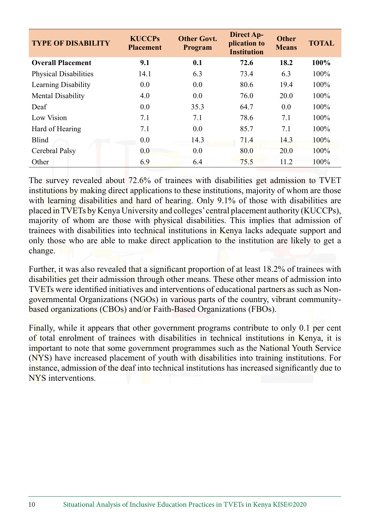| <b>TYPE OF DISABILITY</b> | <b>KUCCPs</b><br><b>Placement</b> | <b>Other Govt.</b><br><b>Program</b> | <b>Direct Ap-</b><br>plication to<br><b>Institution</b> | <b>Other</b><br><b>Means</b> | <b>TOTAL</b> |
|---------------------------|-----------------------------------|--------------------------------------|---------------------------------------------------------|------------------------------|--------------|
| <b>Overall Placement</b>  | 9.1                               | 0.1                                  | 72.6                                                    | 18.2                         | 100%         |
| Physical Disabilities     | 14.1                              | 6.3                                  | 73.4                                                    | 6.3                          | $100\%$      |
| Learning Disability       | 0.0                               | 0.0                                  | 80.6                                                    | 19.4                         | 100%         |
| Mental Disability         | 4.0                               | 0.0                                  | 76.0                                                    | 20.0                         | $100\%$      |
| Deaf                      | 0.0                               | 35.3                                 | 64.7                                                    | 0.0                          | $100\%$      |
| Low Vision                | 7.1                               | 7.1                                  | 78.6                                                    | 7.1                          | $100\%$      |
| Hard of Hearing           | 7.1                               | 0.0                                  | 85.7                                                    | 7.1                          | 100%         |
| <b>Blind</b>              | 0.0                               | 14.3                                 | 71.4                                                    | 14.3                         | 100%         |
| Cerebral Palsy            | 0.0                               | 0.0                                  | 80.0                                                    | 20.0                         | 100%         |
| Other                     | 6.9                               | 6.4                                  | 75.5                                                    | 11.2                         | 100%         |

The survey revealed about 72.6% of trainees with disabilities get admission to TVET institutions by making direct applications to these institutions, majority of whom are those with learning disabilities and hard of hearing. Only 9.1% of those with disabilities are placed in TVETs by Kenya University and colleges' central placement authority (KUCCPs), majority of whom are those with physical disabilities. This implies that admission of trainees with disabilities into technical institutions in Kenya lacks adequate support and only those who are able to make direct application to the institution are likely to get a change.

Further, it was also revealed that a significant proportion of at least 18.2% of trainees with disabilities get their admission through other means. These other means of admission into TVETs were identified initiatives and interventions of educational partners as such as Nongovernmental Organizations (NGOs) in various parts of the country, vibrant communitybased organizations (CBOs) and/or Faith-Based Organizations (FBOs).

Finally, while it appears that other government programs contribute to only 0.1 per cent of total enrolment of trainees with disabilities in technical institutions in Kenya, it is important to note that some government programmes such as the National Youth Service (NYS) have increased placement of youth with disabilities into training institutions. For instance, admission of the deaf into technical institutions has increased significantly due to NYS interventions.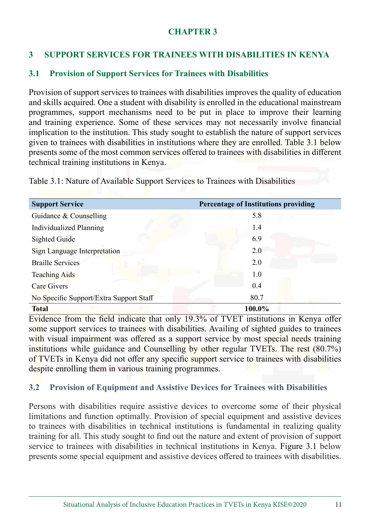#### **CHAPTER 3**

# **3 SUPPORT SERVICES FOR TRAINEES WITH DISABILITIES IN KENYA**

#### **3.1 Provision of Support Services for Trainees with Disabilities**

Provision of support services to trainees with disabilities improves the quality of education and skills acquired. One a student with disability is enrolled in the educational mainstream programmes, support mechanisms need to be put in place to improve their learning and training experience. Some of these services may not necessarily involve financial implication to the institution. This study sought to establish the nature of support services given to trainees with disabilities in institutions where they are enrolled. Table 3.1 below presents some of the most common services offered to trainees with disabilities in different technical training institutions in Kenya.

| <b>Support Service</b>                  | <b>Percentage of Institutions providing</b> |
|-----------------------------------------|---------------------------------------------|
| Guidance & Counselling                  | 5.8                                         |
| <b>Individualized Planning</b>          | 1.4                                         |
| Sighted Guide                           | 6.9                                         |
| Sign Language Interpretation            | 2.0                                         |
| <b>Braille Services</b>                 | 2.0                                         |
| <b>Teaching Aids</b>                    | 1.0                                         |
| Care Givers                             | 0.4                                         |
| No Specific Support/Extra Support Staff | 80.7                                        |
| <b>Total</b>                            | 100.0%                                      |

Table 3.1: Nature of Available Support Services to Trainees with Disabilities

Evidence from the field indicate that only 19.3% of TVET institutions in Kenya offer some support services to trainees with disabilities. Availing of sighted guides to trainees with visual impairment was offered as a support service by most special needs training institutions while guidance and Counselling by other regular TVETs. The rest (80.7%) of TVETs in Kenya did not offer any specific support service to trainees with disabilities despite enrolling them in various training programmes.

#### **3.2 Provision of Equipment and Assistive Devices for Trainees with Disabilities**

Persons with disabilities require assistive devices to overcome some of their physical limitations and function optimally. Provision of special equipment and assistive devices to trainees with disabilities in technical institutions is fundamental in realizing quality training for all. This study sought to find out the nature and extent of provision of support service to trainees with disabilities in technical institutions in Kenya. Figure 3.1 below presents some special equipment and assistive devices offered to trainees with disabilities.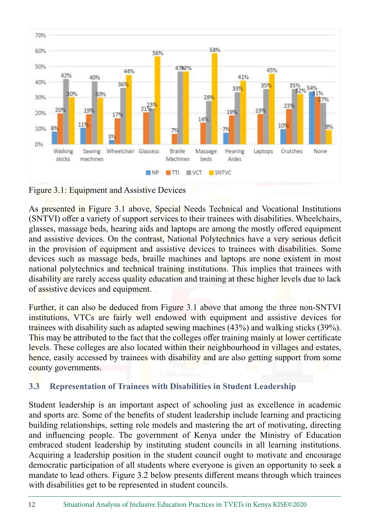

Figure 3.1: Equipment and Assistive Devices

As presented in Figure 3.1 above, Special Needs Technical and Vocational Institutions (SNTVI) offer a variety of support services to their trainees with disabilities. Wheelchairs, glasses, massage beds, hearing aids and laptops are among the mostly offered equipment and assistive devices. On the contrast, National Polytechnics have a very serious deficit in the provision of equipment and assistive devices to trainees with disabilities. Some devices such as massage beds, braille machines and laptops are none existent in most national polytechnics and technical training institutions. This implies that trainees with disability are rarely access quality education and training at these higher levels due to lack of assistive devices and equipment.

Further, it can also be deduced from Figure 3.1 above that among the three non-SNTVI institutions, VTCs are fairly well endowed with equipment and assistive devices for trainees with disability such as adapted sewing machines (43%) and walking sticks (39%). This may be attributed to the fact that the colleges offer training mainly at lower certificate levels. These colleges are also located within their neighbourhood in villages and estates, hence, easily accessed by trainees with disability and are also getting support from some county governments.

# **3.3 Representation of Trainees with Disabilities in Student Leadership**

Student leadership is an important aspect of schooling just as excellence in academic and sports are. Some of the benefits of student leadership include learning and practicing building relationships, setting role models and mastering the art of motivating, directing and influencing people. The government of Kenya under the Ministry of Education embraced student leadership by instituting student councils in all learning institutions. Acquiring a leadership position in the student council ought to motivate and encourage democratic participation of all students where everyone is given an opportunity to seek a mandate to lead others. Figure 3.2 below presents different means through which trainees with disabilities get to be represented in student councils.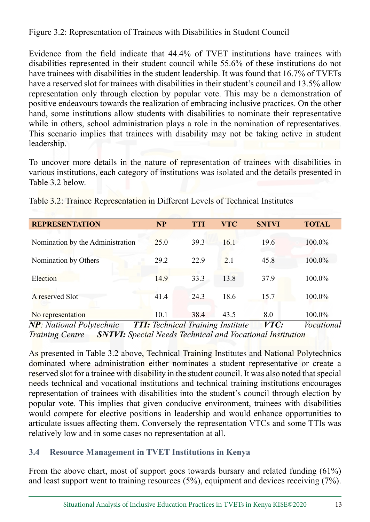Figure 3.2: Representation of Trainees with Disabilities in Student Council

Evidence from the field indicate that 44.4% of TVET institutions have trainees with disabilities represented in their student council while 55.6% of these institutions do not have trainees with disabilities in the student leadership. It was found that 16.7% of TVETs have a reserved slot for trainees with disabilities in their student's council and 13.5% allow representation only through election by popular vote. This may be a demonstration of positive endeavours towards the realization of embracing inclusive practices. On the other hand, some institutions allow students with disabilities to nominate their representative while in others, school administration plays a role in the nomination of representatives. This scenario implies that trainees with disability may not be taking active in student leadership.

To uncover more details in the nature of representation of trainees with disabilities in various institutions, each category of institutions was isolated and the details presented in Table 3.2 below.

| <b>REPRESENTATION</b>            | <b>NP</b>                                | <b>TTI</b> | <b>VTC</b> | <b>SNTVI</b> | <b>TOTAL</b>      |
|----------------------------------|------------------------------------------|------------|------------|--------------|-------------------|
| Nomination by the Administration | 25.0                                     | 39.3       | 16.1       | 19.6         | 100.0%            |
| Nomination by Others             | 29.2                                     | 22.9       | 2.1        | 45.8         | 100.0%            |
| Election                         | 14.9                                     | 33.3       | 13.8       | 37.9         | 100.0%            |
| A reserved Slot                  | 41.4                                     | 24.3       | 18.6       | 15.7         | 100.0%            |
| No representation                | 10.1                                     | 38.4       | 43.5       | 8.0          | 100.0%            |
| $NP$ National Polytechnic        | <b>TTI:</b> Technical Training Institute |            |            | <i>VTC</i> : | <i>Vocational</i> |

Table 3.2: Trainee Representation in Different Levels of Technical Institutes

*NP: National Polytechnic TTI: Technical Training Institute VTC: Vocational Training Centre SNTVI: Special Needs Technical and Vocational Institution*

As presented in Table 3.2 above, Technical Training Institutes and National Polytechnics dominated where administration either nominates a student representative or create a reserved slot for a trainee with disability in the student council. It was also noted that special needs technical and vocational institutions and technical training institutions encourages representation of trainees with disabilities into the student's council through election by popular vote. This implies that given conducive environment, trainees with disabilities would compete for elective positions in leadership and would enhance opportunities to articulate issues affecting them. Conversely the representation VTCs and some TTIs was relatively low and in some cases no representation at all.

# **3.4 Resource Management in TVET Institutions in Kenya**

From the above chart, most of support goes towards bursary and related funding (61%) and least support went to training resources (5%), equipment and devices receiving (7%).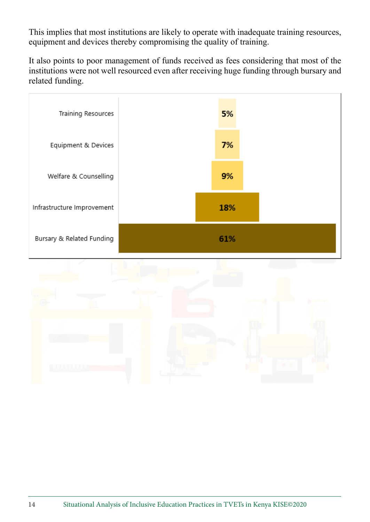This implies that most institutions are likely to operate with inadequate training resources, equipment and devices thereby compromising the quality of training.

It also points to poor management of funds received as fees considering that most of the institutions were not well resourced even after receiving huge funding through bursary and related funding.



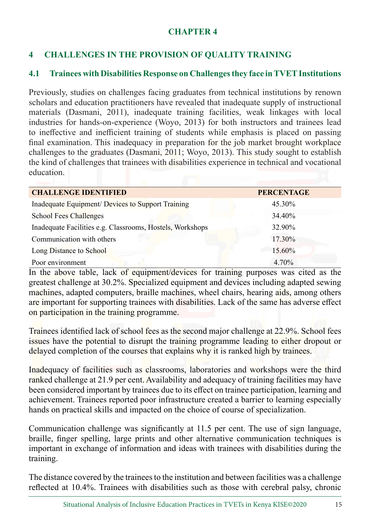#### **CHAPTER 4**

# **4 CHALLENGES IN THE PROVISION OF QUALITY TRAINING**

#### **4.1 Trainees with Disabilities Response on Challenges they face in TVET Institutions**

Previously, studies on challenges facing graduates from technical institutions by renown scholars and education practitioners have revealed that inadequate supply of instructional materials (Dasmani, 2011), inadequate training facilities, weak linkages with local industries for hands-on-experience (Woyo, 2013) for both instructors and trainees lead to ineffective and inefficient training of students while emphasis is placed on passing final examination. This inadequacy in preparation for the job market brought workplace challenges to the graduates (Dasmani, 2011; Woyo, 2013). This study sought to establish the kind of challenges that trainees with disabilities experience in technical and vocational education.

| <b>CHALLENGE IDENTIFIED</b>                               | <b>PERCENTAGE</b> |
|-----------------------------------------------------------|-------------------|
| Inadequate Equipment/ Devices to Support Training         | 45.30%            |
| <b>School Fees Challenges</b>                             | 34.40%            |
| Inadequate Facilities e.g. Classrooms, Hostels, Workshops | 32.90%            |
| Communication with others                                 | 17.30%            |
| Long Distance to School                                   | 15.60%            |
| Poor environment                                          | 4.70%             |

In the above table, lack of equipment/devices for training purposes was cited as the greatest challenge at 30.2%. Specialized equipment and devices including adapted sewing machines, adapted computers, braille machines, wheel chairs, hearing aids, among others are important for supporting trainees with disabilities. Lack of the same has adverse effect on participation in the training programme.

Trainees identified lack of school fees as the second major challenge at 22.9%. School fees issues have the potential to disrupt the training programme leading to either dropout or delayed completion of the courses that explains why it is ranked high by trainees.

Inadequacy of facilities such as classrooms, laboratories and workshops were the third ranked challenge at 21.9 per cent. Availability and adequacy of training facilities may have been considered important by trainees due to its effect on trainee participation, learning and achievement. Trainees reported poor infrastructure created a barrier to learning especially hands on practical skills and impacted on the choice of course of specialization.

Communication challenge was significantly at 11.5 per cent. The use of sign language, braille, finger spelling, large prints and other alternative communication techniques is important in exchange of information and ideas with trainees with disabilities during the training.

The distance covered by the trainees to the institution and between facilities was a challenge reflected at 10.4%. Trainees with disabilities such as those with cerebral palsy, chronic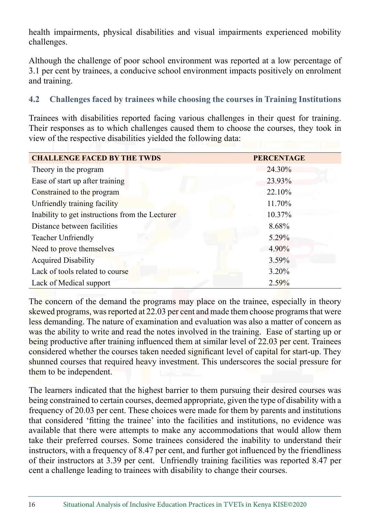health impairments, physical disabilities and visual impairments experienced mobility challenges.

Although the challenge of poor school environment was reported at a low percentage of 3.1 per cent by trainees, a conducive school environment impacts positively on enrolment and training.

#### **4.2 Challenges faced by trainees while choosing the courses in Training Institutions**

Trainees with disabilities reported facing various challenges in their quest for training. Their responses as to which challenges caused them to choose the courses, they took in view of the respective disabilities yielded the following data:

| <b>CHALLENGE FACED BY THE TWDS</b>              | <b>PERCENTAGE</b> |
|-------------------------------------------------|-------------------|
| Theory in the program                           | 24.30%            |
| Ease of start up after training                 | 23.93%            |
| Constrained to the program                      | 22.10%            |
| Unfriendly training facility                    | 11.70%            |
| Inability to get instructions from the Lecturer | 10.37%            |
| Distance between facilities                     | 8.68%             |
| <b>Teacher Unfriendly</b>                       | 5.29%             |
| Need to prove themselves                        | 4.90%             |
| <b>Acquired Disability</b>                      | 3.59%             |
| Lack of tools related to course                 | 3.20%             |
| Lack of Medical support                         | 2.59%             |

The concern of the demand the programs may place on the trainee, especially in theory skewed programs, was reported at 22.03 per cent and made them choose programs that were less demanding. The nature of examination and evaluation was also a matter of concern as was the ability to write and read the notes involved in the training. Ease of starting up or being productive after training influenced them at similar level of 22.03 per cent. Trainees considered whether the courses taken needed significant level of capital for start-up. They shunned courses that required heavy investment. This underscores the social pressure for them to be independent.

The learners indicated that the highest barrier to them pursuing their desired courses was being constrained to certain courses, deemed appropriate, given the type of disability with a frequency of 20.03 per cent. These choices were made for them by parents and institutions that considered 'fitting the trainee' into the facilities and institutions, no evidence was available that there were attempts to make any accommodations that would allow them take their preferred courses. Some trainees considered the inability to understand their instructors, with a frequency of 8.47 per cent, and further got influenced by the friendliness of their instructors at 3.39 per cent. Unfriendly training facilities was reported 8.47 per cent a challenge leading to trainees with disability to change their courses.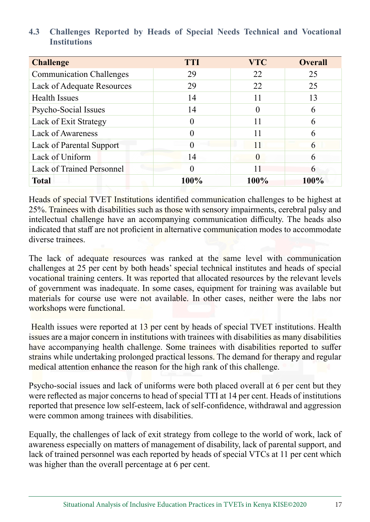| <b>Challenge</b>                 | <b>TTI</b>       | <b>VTC</b> | <b>Overall</b> |
|----------------------------------|------------------|------------|----------------|
| <b>Communication Challenges</b>  | 29               | 22         | 25             |
| Lack of Adequate Resources       | 29               | 22         | 25             |
| <b>Health Issues</b>             | 14               | 11         | 13             |
| Psycho-Social Issues             | 14               | 0          | 6              |
| Lack of Exit Strategy            | 0                | 11         | 6              |
| <b>Lack of Awareness</b>         | $\left( \right)$ | 11         | 6              |
| Lack of Parental Support         | $\Omega$         | 11         | 6              |
| Lack of Uniform                  | 14               | 0          | 6              |
| <b>Lack of Trained Personnel</b> | $\Omega$         |            | 6              |
| <b>Total</b>                     | 100%             | $100\%$    | 100%           |

#### **4.3 Challenges Reported by Heads of Special Needs Technical and Vocational Institutions**

Heads of special TVET Institutions identified communication challenges to be highest at 25%. Trainees with disabilities such as those with sensory impairments, cerebral palsy and intellectual challenge have an accompanying communication difficulty. The heads also indicated that staff are not proficient in alternative communication modes to accommodate diverse trainees.

The lack of adequate resources was ranked at the same level with communication challenges at 25 per cent by both heads' special technical institutes and heads of special vocational training centers. It was reported that allocated resources by the relevant levels of government was inadequate. In some cases, equipment for training was available but materials for course use were not available. In other cases, neither were the labs nor workshops were functional.

Health issues were reported at 13 per cent by heads of special TVET institutions. Health issues are a major concern in institutions with trainees with disabilities as many disabilities have accompanying health challenge. Some trainees with disabilities reported to suffer strains while undertaking prolonged practical lessons. The demand for therapy and regular medical attention enhance the reason for the high rank of this challenge.

Psycho-social issues and lack of uniforms were both placed overall at 6 per cent but they were reflected as major concerns to head of special TTI at 14 per cent. Heads of institutions reported that presence low self-esteem, lack of self-confidence, withdrawal and aggression were common among trainees with disabilities.

Equally, the challenges of lack of exit strategy from college to the world of work, lack of awareness especially on matters of management of disability, lack of parental support, and lack of trained personnel was each reported by heads of special VTCs at 11 per cent which was higher than the overall percentage at 6 per cent.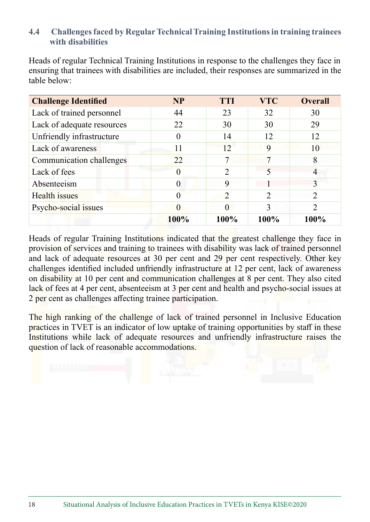#### **4.4 Challenges faced by Regular Technical Training Institutions in training trainees with disabilities**

Heads of regular Technical Training Institutions in response to the challenges they face in ensuring that trainees with disabilities are included, their responses are summarized in the table below:

| <b>Challenge Identified</b> | <b>NP</b> | <b>TTI</b>     | <b>VTC</b> | <b>Overall</b> |
|-----------------------------|-----------|----------------|------------|----------------|
| Lack of trained personnel   | 44        | 23             | 32         | 30             |
| Lack of adequate resources  | 22        | 30             | 30         | 29             |
| Unfriendly infrastructure   |           | 14             | 12         | 12             |
| Lack of awareness           | 11        | 12             | 9          | 10             |
| Communication challenges    | 22        |                |            | 8              |
| Lack of fees                |           | 2              |            | 4              |
| Absenteeism                 | $\Omega$  | 9              |            |                |
| Health issues               |           | $\overline{2}$ |            | $\mathfrak{D}$ |
| Psycho-social issues        |           |                | 3          |                |
|                             | 100%      | 100%           | 100%       | 100%           |

Heads of regular Training Institutions indicated that the greatest challenge they face in provision of services and training to trainees with disability was lack of trained personnel and lack of adequate resources at 30 per cent and 29 per cent respectively. Other key challenges identified included unfriendly infrastructure at 12 per cent, lack of awareness on disability at 10 per cent and communication challenges at 8 per cent. They also cited lack of fees at 4 per cent, absenteeism at 3 per cent and health and psycho-social issues at 2 per cent as challenges affecting trainee participation.

The high ranking of the challenge of lack of trained personnel in Inclusive Education practices in TVET is an indicator of low uptake of training opportunities by staff in these Institutions while lack of adequate resources and unfriendly infrastructure raises the question of lack of reasonable accommodations.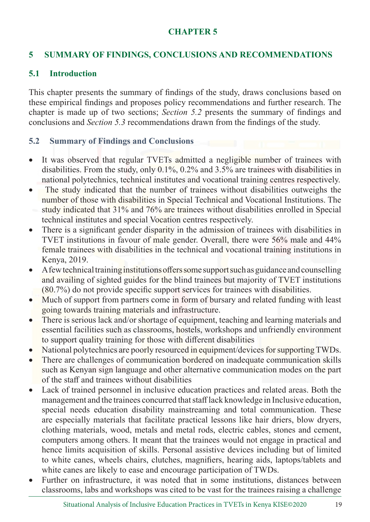#### **CHAPTER 5**

#### **5 SUMMARY OF FINDINGS, CONCLUSIONS AND RECOMMENDATIONS**

#### **5.1 Introduction**

This chapter presents the summary of findings of the study, draws conclusions based on these empirical findings and proposes policy recommendations and further research. The chapter is made up of two sections; *Section 5.2* presents the summary of findings and conclusions and *Section 5.3* recommendations drawn from the findings of the study.

#### **5.2 Summary of Findings and Conclusions**

- It was observed that regular TVETs admitted a negligible number of trainees with disabilities. From the study, only 0.1%, 0.2% and 3.5% are trainees with disabilities in national polytechnics, technical institutes and vocational training centres respectively.
- The study indicated that the number of trainees without disabilities outweighs the number of those with disabilities in Special Technical and Vocational Institutions. The study indicated that 31% and 76% are trainees without disabilities enrolled in Special technical institutes and special Vocation centres respectively.
- There is a significant gender disparity in the admission of trainees with disabilities in TVET institutions in favour of male gender. Overall, there were 56% male and 44% female trainees with disabilities in the technical and vocational training institutions in Kenya, 2019.
- A few technical training institutions offers some support such as guidance and counselling and availing of sighted guides for the blind trainees but majority of TVET institutions (80.7%) do not provide specific support services for trainees with disabilities.
- Much of support from partners come in form of bursary and related funding with least going towards training materials and infrastructure.
- There is serious lack and/or shortage of equipment, teaching and learning materials and essential facilities such as classrooms, hostels, workshops and unfriendly environment to support quality training for those with different disabilities
- National polytechnics are poorly resourced in equipment/devices for supporting TWDs.
- There are challenges of communication bordered on inadequate communication skills such as Kenyan sign language and other alternative communication modes on the part of the staff and trainees without disabilities
- Lack of trained personnel in inclusive education practices and related areas. Both the management and the trainees concurred that staff lack knowledge in Inclusive education, special needs education disability mainstreaming and total communication. These are especially materials that facilitate practical lessons like hair driers, blow dryers, clothing materials, wood, metals and metal rods, electric cables, stones and cement, computers among others. It meant that the trainees would not engage in practical and hence limits acquisition of skills. Personal assistive devices including but of limited to white canes, wheels chairs, clutches, magnifiers, hearing aids, laptops/tablets and white canes are likely to ease and encourage participation of TWDs.
- Further on infrastructure, it was noted that in some institutions, distances between classrooms, labs and workshops was cited to be vast for the trainees raising a challenge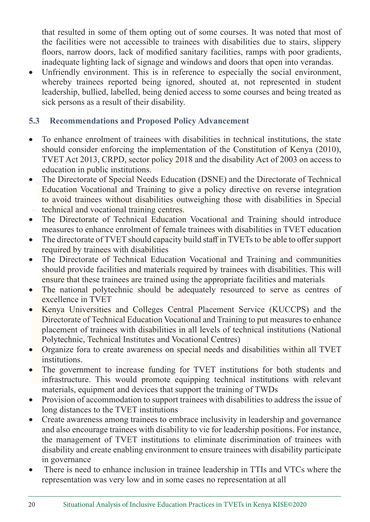that resulted in some of them opting out of some courses. It was noted that most of the facilities were not accessible to trainees with disabilities due to stairs, slippery floors, narrow doors, lack of modified sanitary facilities, ramps with poor gradients, inadequate lighting lack of signage and windows and doors that open into verandas.

Unfriendly environment. This is in reference to especially the social environment, whereby trainees reported being ignored, shouted at, not represented in student leadership, bullied, labelled, being denied access to some courses and being treated as sick persons as a result of their disability.

# **5.3 Recommendations and Proposed Policy Advancement**

- To enhance enrolment of trainees with disabilities in technical institutions, the state should consider enforcing the implementation of the Constitution of Kenya (2010), TVET Act 2013, CRPD, sector policy 2018 and the disability Act of 2003 on access to education in public institutions.
- The Directorate of Special Needs Education (DSNE) and the Directorate of Technical Education Vocational and Training to give a policy directive on reverse integration to avoid trainees without disabilities outweighing those with disabilities in Special technical and vocational training centres.
- The Directorate of Technical Education Vocational and Training should introduce measures to enhance enrolment of female trainees with disabilities in TVET education
- The directorate of TVET should capacity build staff in TVETs to be able to offer support required by trainees with disabilities
- The Directorate of Technical Education Vocational and Training and communities should provide facilities and materials required by trainees with disabilities. This will ensure that these trainees are trained using the appropriate facilities and materials
- The national polytechnic should be adequately resourced to serve as centres of excellence in TVET
- Kenya Universities and Colleges Central Placement Service (KUCCPS) and the Directorate of Technical Education Vocational and Training to put measures to enhance placement of trainees with disabilities in all levels of technical institutions (National Polytechnic, Technical Institutes and Vocational Centres)
- Organize fora to create awareness on special needs and disabilities within all TVET institutions.
- The government to increase funding for TVET institutions for both students and infrastructure. This would promote equipping technical institutions with relevant materials, equipment and devices that support the training of TWDs
- Provision of accommodation to support trainees with disabilities to address the issue of long distances to the TVET institutions
- Create awareness among trainees to embrace inclusivity in leadership and governance and also encourage trainees with disability to vie for leadership positions. For instance, the management of TVET institutions to eliminate discrimination of trainees with disability and create enabling environment to ensure trainees with disability participate in governance
- There is need to enhance inclusion in trainee leadership in TTIs and VTCs where the representation was very low and in some cases no representation at all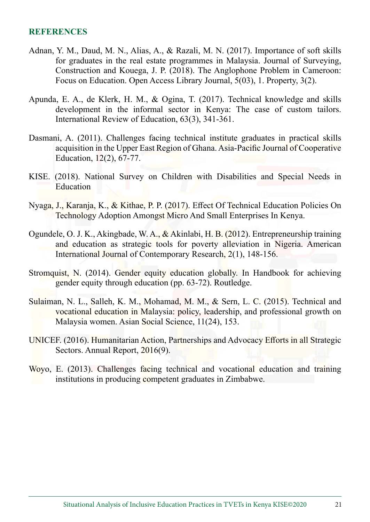#### **REFERENCES**

- Adnan, Y. M., Daud, M. N., Alias, A., & Razali, M. N. (2017). Importance of soft skills for graduates in the real estate programmes in Malaysia. Journal of Surveying, Construction and Kouega, J. P. (2018). The Anglophone Problem in Cameroon: Focus on Education. Open Access Library Journal, 5(03), 1. Property, 3(2).
- Apunda, E. A., de Klerk, H. M., & Ogina, T. (2017). Technical knowledge and skills development in the informal sector in Kenya: The case of custom tailors. International Review of Education, 63(3), 341-361.
- Dasmani, A. (2011). Challenges facing technical institute graduates in practical skills acquisition in the Upper East Region of Ghana. Asia-Pacific Journal of Cooperative Education, 12(2), 67-77.
- KISE. (2018). National Survey on Children with Disabilities and Special Needs in Education
- Nyaga, J., Karanja, K., & Kithae, P. P. (2017). Effect Of Technical Education Policies On Technology Adoption Amongst Micro And Small Enterprises In Kenya.
- Ogundele, O. J. K., Akingbade, W. A., & Akinlabi, H. B. (2012). Entrepreneurship training and education as strategic tools for poverty alleviation in Nigeria. American International Journal of Contemporary Research, 2(1), 148-156.
- Stromquist, N. (2014). Gender equity education globally. In Handbook for achieving gender equity through education (pp. 63-72). Routledge.
- Sulaiman, N. L., Salleh, K. M., Mohamad, M. M., & Sern, L. C. (2015). Technical and vocational education in Malaysia: policy, leadership, and professional growth on Malaysia women. Asian Social Science, 11(24), 153.
- UNICEF. (2016). Humanitarian Action, Partnerships and Advocacy Efforts in all Strategic Sectors. Annual Report, 2016(9).
- Woyo, E. (2013). Challenges facing technical and vocational education and training institutions in producing competent graduates in Zimbabwe.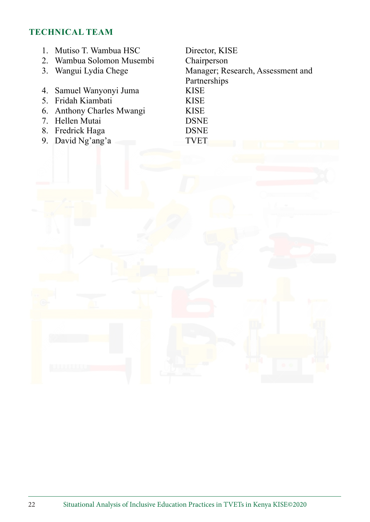#### **TECHNICAL TEAM**

1. Mutiso T. Wambua HSC Director, KISE<br>
2. Wambua Solomon Musembi Chairperson 2. Wambua Solomon Musembi<br>3. Wangui Lydia Chege Manager; Research, Assessment and Partnerships 4. Samuel Wanyonyi Juma 5. Fridah Kiambati KISE 6. Anthony Charles Mwangi KISE 7. Hellen Mutai DSNE 8. Fredrick Haga DSNE 9. David Ng'ang'a TVET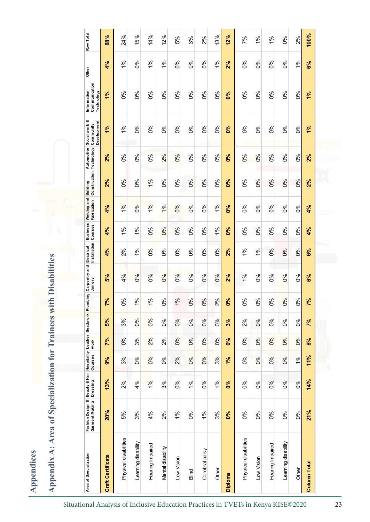Appendices **Appendices**

|   | $\mathbf{1}$                                                                                                                                                                                                                             |
|---|------------------------------------------------------------------------------------------------------------------------------------------------------------------------------------------------------------------------------------------|
|   | į                                                                                                                                                                                                                                        |
|   | I<br>14.5万字<br>I                                                                                                                                                                                                                         |
|   | t de la component de la component de la component de la component de la component de la component de la component de la component de la component de la component de la component de la component de la component de la compon<br>֠<br>í |
|   | <b>CONTRACTOR</b>                                                                                                                                                                                                                        |
| I | j<br>ł                                                                                                                                                                                                                                   |

| Area of Specialization   | Fashion Design &<br>Garment Making | sesuno<br>Dressing Courses<br>Uressing<br><b>Dressing</b> |          | Leather<br>work | Beadwork Plumbing |          | Carpentry and Electrical<br>Joinery | Installation Courses |            | Business Welding and<br>Fabrication | Construction Technology<br>Building | <b>Automotive</b> | Social work &<br>Development<br>Community | Communication<br>Information<br>Technology | <b>Other</b>   | Row Total     |
|--------------------------|------------------------------------|-----------------------------------------------------------|----------|-----------------|-------------------|----------|-------------------------------------|----------------------|------------|-------------------------------------|-------------------------------------|-------------------|-------------------------------------------|--------------------------------------------|----------------|---------------|
| <b>Craft Certificate</b> | 20%                                | 13%                                                       | 9%       | 7%              | 5%                | 7%       | 5%                                  | 4%                   | 4%         | 4%                                  | 2%                                  | 2%                | 1%                                        | 1%                                         | 4%             | 88%           |
| Physical disabilities    | 5%                                 | 2%                                                        | 3%       | $\delta$        | 3%                | 0%       | 4%                                  | 2%                   | 1%         | $\frac{8}{5}$                       | 0%                                  | 0%                | 1%                                        | 0%                                         | $\frac{96}{6}$ | 24%           |
| Learning disability      | 3%                                 | 4%                                                        | 0%       | 3%              | 6%                | 1%       | 6%                                  | 1%                   | 1%         | 0%                                  | కి                                  | 0%                | $\delta$                                  | 8%                                         | $\delta$       | 15%           |
| Hearing Impaired         | 4%                                 | 1%                                                        | 0%       | 2%              | 0%                | 1%       | 0%                                  | 0%                   | 0%         | $\frac{8}{5}$                       | 1%                                  | 0%                | $\delta$                                  | 0%                                         | $\frac{96}{6}$ | 14%           |
| Mental disability        | 2%                                 | 3%                                                        | కి       | 2%              | $\delta$          | $\delta$ | 0%                                  | 86                   | 0%         | 1%                                  | $\delta$                            | 2%                | ಶಿಂ                                       | ఠి                                         | 1%             | 12%           |
| Low Vision               | $\frac{96}{6}$                     | $\delta$                                                  | 2%       | 0%              | 0%                | 1%       | 0%                                  | $\delta$             | 0%         | 0%                                  | 0%                                  | 0%                | $\delta$                                  | 0%                                         | $\delta$       | 5%            |
| Blind                    | 0%                                 | 1%                                                        | 0%       | 0%              | 0%                | 0%       | 0%                                  | 86                   | $\delta$   | $\frac{6}{6}$                       | 0%                                  | 0%                | ೦ೆ                                        | ಶಿಂ                                        | 0%             | 3%            |
| Cerebral palsy           | $\frac{96}{6}$                     | 0%                                                        | 0%       | $\delta$        | 0%                | $0\%$    | 0%                                  | $\delta$             | $\delta$   | $\delta$                            | 0%                                  | 0%                | $\delta$                                  | 0%                                         | $\delta$       | 2%            |
| Other                    | 3%                                 | 1%                                                        | 3%       | 0%              | 0%                | 2%       | 0%                                  | 0%                   | 1%         | 1%                                  | 0%                                  | 0%                | 0%                                        | 0%                                         | 1%             | 13%           |
| <b>Diploma</b>           | $\delta$                           | ೦%                                                        | 1%       | <b>S</b>        | 3%                | ೦%       | 2%                                  | 2%                   | $\delta$   | <b>S°O</b>                          | ೦%                                  | <b>do</b>         | <b>do</b>                                 | $\delta$                                   | 2%             | 12%           |
| Physical disabilities    | ೦%                                 | ೦%                                                        | $\delta$ | $\delta$        | 2%                | ಶಿಂ      | 1%                                  | ें                   | $\delta$   | ೦%                                  | ಶಿಂ                                 | 0%                | ಶಿಂ                                       | ಕಿಂ                                        | ಶಿಂ            | 7%            |
| Low Vision               | $\delta$                           | $\delta$                                                  | 0%       | 0%              | $0\%$             | 0%       | 0%                                  | $\geq$               | 0%         | $\delta$                            | 0%                                  | 0%                | 0%                                        | 0%                                         | $\delta$       | $\frac{6}{6}$ |
| Hearing Impaired         | 0%                                 | 0%                                                        | 0%       | $\delta$        | $\delta$          | ಶಿಂ      | ಕಿಂ                                 | ೦%                   | 0%         | ೦ೆ                                  | $0\%$                               | ೦%                | ಶಿಂ                                       | ಕಿಂ                                        | $\delta$       | 1%            |
| Learning disability      | $\delta$                           | 0%                                                        | 0%       | 0%              | $\delta$          | 0%       | $\delta$                            | $\delta$             | $\delta$ 0 | $\delta$                            | $0\%$                               | 0%                | ೦%                                        | $\delta$                                   | 0%             | 0%            |
| Other                    | 0%                                 | 0%                                                        | 1%       | 0%              | $\delta$          | 0%       | 0%                                  | 0%                   | $\delta$   | 0%                                  | 0%                                  | 6%                | $\delta$                                  | $\delta$                                   | 1%             | 2%            |
| <b>Column Total</b>      | 21%                                | 14%                                                       | 11%      | $\frac{9}{6}$   | 7%                | 7%       | 6%                                  | 6%                   | 4%         | 4%                                  | 2%                                  | 2%                | 1%                                        | 1%                                         | 6%             | 100%          |
|                          |                                    |                                                           |          |                 |                   |          |                                     |                      |            |                                     |                                     |                   |                                           |                                            |                |               |